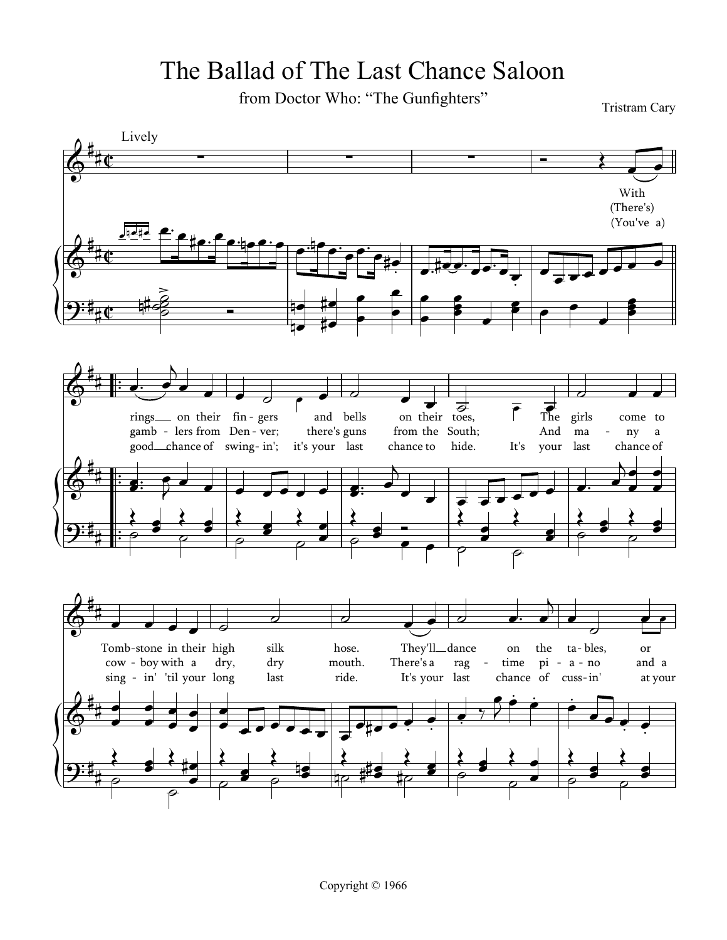## The Ballad of The Last Chance Saloon

from Doctor Who: "The Gunfighters"

**Tristram Cary** 

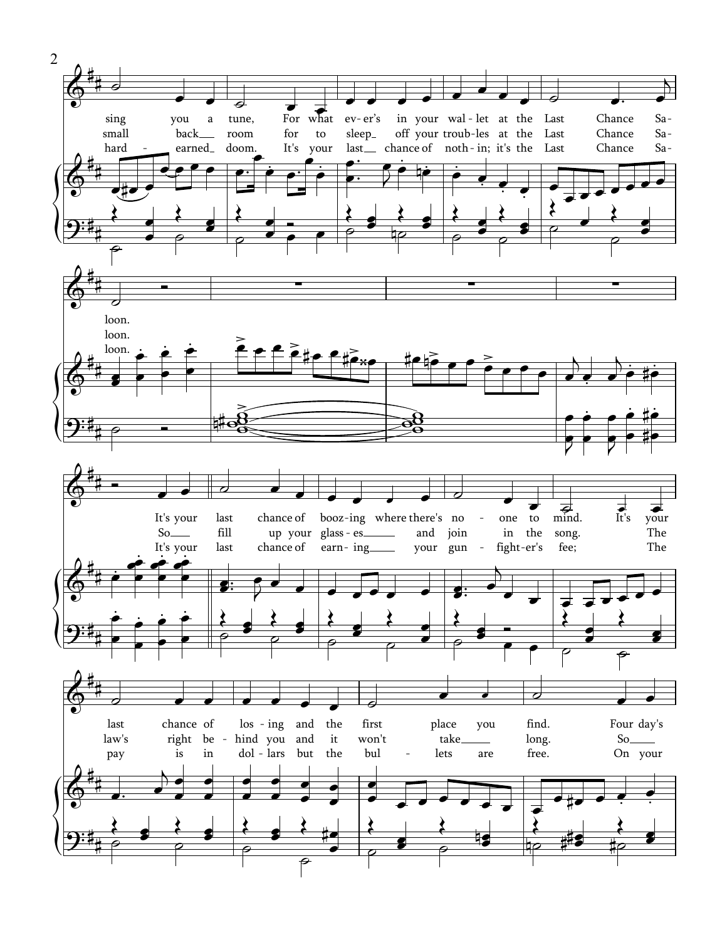